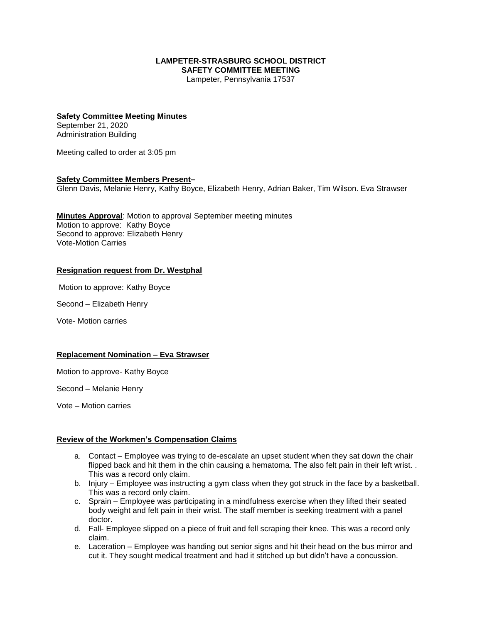### **LAMPETER-STRASBURG SCHOOL DISTRICT SAFETY COMMITTEE MEETING**

Lampeter, Pennsylvania 17537

# **Safety Committee Meeting Minutes** September 21, 2020

Administration Building

Meeting called to order at 3:05 pm

## **Safety Committee Members Present–**

Glenn Davis, Melanie Henry, Kathy Boyce, Elizabeth Henry, Adrian Baker, Tim Wilson. Eva Strawser

**Minutes Approval**: Motion to approval September meeting minutes Motion to approve: Kathy Boyce Second to approve: Elizabeth Henry Vote-Motion Carries

## **Resignation request from Dr. Westphal**

Motion to approve: Kathy Boyce

Second – Elizabeth Henry

Vote- Motion carries

#### **Replacement Nomination – Eva Strawser**

Motion to approve- Kathy Boyce

Second – Melanie Henry

Vote – Motion carries

## **Review of the Workmen's Compensation Claims**

- a. Contact Employee was trying to de-escalate an upset student when they sat down the chair flipped back and hit them in the chin causing a hematoma. The also felt pain in their left wrist... This was a record only claim.
- b. Injury Employee was instructing a gym class when they got struck in the face by a basketball. This was a record only claim.
- c. Sprain Employee was participating in a mindfulness exercise when they lifted their seated body weight and felt pain in their wrist. The staff member is seeking treatment with a panel doctor.
- d. Fall- Employee slipped on a piece of fruit and fell scraping their knee. This was a record only claim.
- e. Laceration Employee was handing out senior signs and hit their head on the bus mirror and cut it. They sought medical treatment and had it stitched up but didn't have a concussion.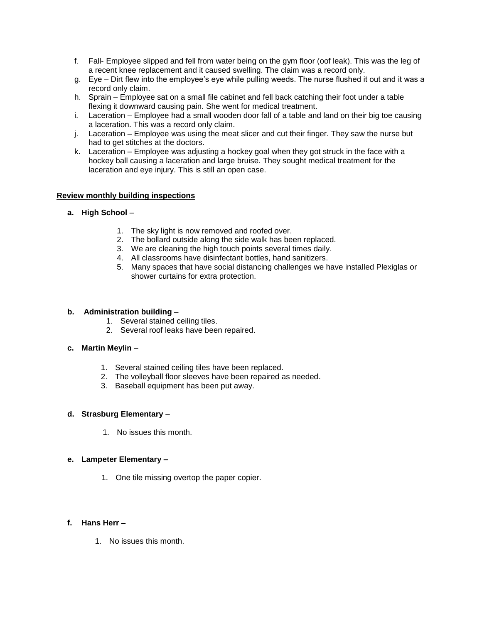- f. Fall- Employee slipped and fell from water being on the gym floor (oof leak). This was the leg of a recent knee replacement and it caused swelling. The claim was a record only.
- g. Eye Dirt flew into the employee's eye while pulling weeds. The nurse flushed it out and it was a record only claim.
- h. Sprain Employee sat on a small file cabinet and fell back catching their foot under a table flexing it downward causing pain. She went for medical treatment.
- i. Laceration Employee had a small wooden door fall of a table and land on their big toe causing a laceration. This was a record only claim.
- j. Laceration Employee was using the meat slicer and cut their finger. They saw the nurse but had to get stitches at the doctors.
- k. Laceration Employee was adjusting a hockey goal when they got struck in the face with a hockey ball causing a laceration and large bruise. They sought medical treatment for the laceration and eye injury. This is still an open case.

### **Review monthly building inspections**

- **a. High School**
	- 1. The sky light is now removed and roofed over.
	- 2. The bollard outside along the side walk has been replaced.
	- 3. We are cleaning the high touch points several times daily.
	- 4. All classrooms have disinfectant bottles, hand sanitizers.
	- 5. Many spaces that have social distancing challenges we have installed Plexiglas or shower curtains for extra protection.

#### **b. Administration building** –

- 1. Several stained ceiling tiles.
- 2. Several roof leaks have been repaired.

## **c. Martin Meylin** –

- 1. Several stained ceiling tiles have been replaced.
- 2. The volleyball floor sleeves have been repaired as needed.
- 3. Baseball equipment has been put away.

## **d. Strasburg Elementary** –

1. No issues this month.

#### **e. Lampeter Elementary –**

1. One tile missing overtop the paper copier.

#### **f. Hans Herr –**

1. No issues this month.